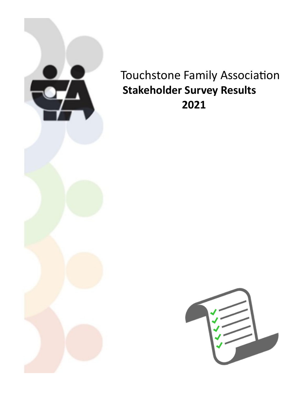

Touchstone Family Association  **Stakeholder Survey Results 2021**

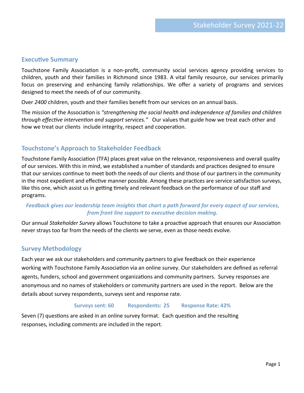### **Executive Summary**

Touchstone Family Association is a non-profit, community social services agency providing services to children, youth and their families in Richmond since 1983. A vital family resource, our services primarily focus on preserving and enhancing family relationships. We offer a variety of programs and services designed to meet the needs of of our community.

Over *2400* children, youth and their families benefit from our services on an annual basis.

The mission of the Association is *"strengthening the social health and independence of families and children through effective intervention and support services."* Our values that guide how we treat each other and how we treat our clients include integrity, respect and cooperation.

## **Touchstone's Approach to Stakeholder Feedback**

Touchstone Family Association (TFA) places great value on the relevance, responsiveness and overall quality of our services. With this in mind, we established a number of standards and practices designed to ensure that our services continue to meet both the needs of our clients and those of our partners in the community in the most expedient and effective manner possible. Among these practices are service satisfaction surveys, like this one, which assist us in getting timely and relevant feedback on the performance of our staff and programs.

#### *Feedback gives our leadership team insights that chart a path forward for every aspect of our services, from front line support to executive decision making.*

Our annual *Stakeholder Survey* allows Touchstone to take a proactive approach that ensures our Association never strays too far from the needs of the clients we serve, even as those needs evolve.

## **Survey Methodology**

Each year we ask our stakeholders and community partners to give feedback on their experience working with Touchstone Family Association via an online survey. Our stakeholders are defined as referral agents, funders, school and government organizations and community partners. Survey responses are anonymous and no names of stakeholders or community partners are used in the report. Below are the details about survey respondents, surveys sent and response rate.

#### **Surveys sent: 60 Respondents: 25 Response Rate: 42%**

Seven (7) questions are asked in an online survey format. Each question and the resulting responses, including comments are included in the report.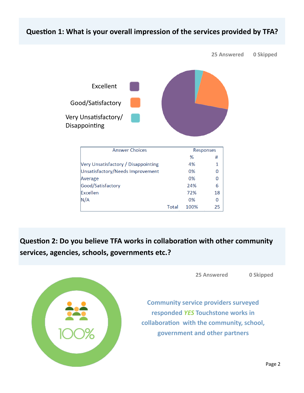## **Question 1: What is your overall impression of the services provided by TFA?**



**Question 2: Do you believe TFA works in collaboration with other community services, agencies, schools, governments etc.?**



**25 Answered 0 Skipped**

**Community service providers surveyed responded** *YES* **Touchstone works in collaboration with the community, school, government and other partners**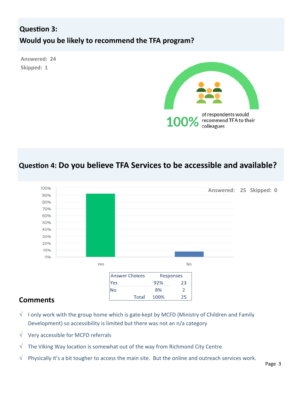# **Question 3: Would you be likely to recommend the TFA program?**

**Answered: 24 Skipped: 1**



# **Question 4: Do you believe TFA Services to be accessible and available?**



## **Comments**

- $\sqrt{\phantom{a}}$  I only work with the group home which is gate-kept by MCFD (Ministry of Children and Family Development) so accessibility is limited but there was not an n/a category
- $\sqrt{\phantom{a}}$  Very accessible for MCFD referrals
- $\sqrt{\phantom{a}}$  The Viking Way location is somewhat out of the way from Richmond City Centre
- $\sqrt{\phantom{a}}$  Physically it's a bit tougher to access the main site. But the online and outreach services work.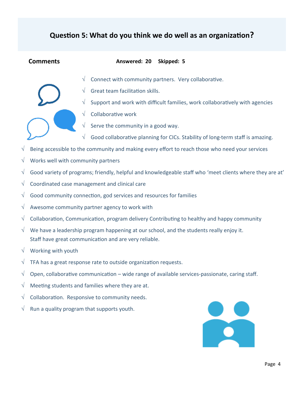## **Question 5: What do you think we do well as an organization?**

#### **Comments Answered: 20 Skipped: 5**

- 
- $\sqrt{\phantom{a}}$  Connect with community partners. Very collaborative.
	- Great team facilitation skills.
		- Support and work with difficult families, work collaboratively with agencies
	- √ Collaborative work
	- Serve the community in a good way.
	- $\sqrt{\phantom{a}}$  Good collaborative planning for CICs. Stability of long-term staff is amazing.
- $\sqrt{\phantom{a}}$  Being accessible to the community and making every effort to reach those who need your services
- Works well with community partners
- $\sqrt{\phantom{a}}$  Good variety of programs; friendly, helpful and knowledgeable staff who 'meet clients where they are at'
- $\sqrt{\phantom{a}}$  Coordinated case management and clinical care
- $\sqrt{\phantom{a}}$  Good community connection, god services and resources for families
- $\sqrt{ }$  Awesome community partner agency to work with
- $\sqrt{\phantom{a}}$  Collaboration, Communication, program delivery Contributing to healthy and happy community
- $\sqrt{\phantom{a}}$  We have a leadership program happening at our school, and the students really enjoy it. Staff have great communication and are very reliable.
- √ Working with youth
- $\sqrt{\phantom{a}}$  TFA has a great response rate to outside organization requests.
- $\sqrt{\phantom{a}}$  Open, collaborative communication wide range of available services-passionate, caring staff.
- $\sqrt{\phantom{a}}$  Meeting students and families where they are at.
- $\sqrt{\phantom{a}}$  Collaboration. Responsive to community needs.
- $\sqrt{\phantom{a}}$  Run a quality program that supports youth.